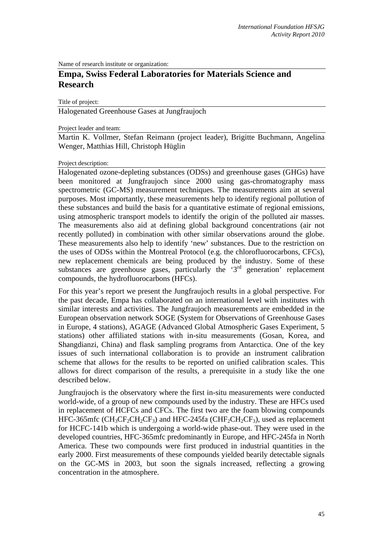Name of research institute or organization:

# **Empa, Swiss Federal Laboratories for Materials Science and Research**

Title of project:

Halogenated Greenhouse Gases at Jungfraujoch

Project leader and team:

Martin K. Vollmer, Stefan Reimann (project leader), Brigitte Buchmann, Angelina Wenger, Matthias Hill, Christoph Hüglin

#### Project description:

Halogenated ozone-depleting substances (ODSs) and greenhouse gases (GHGs) have been monitored at Jungfraujoch since 2000 using gas-chromatography mass spectrometric (GC-MS) measurement techniques. The measurements aim at several purposes. Most importantly, these measurements help to identify regional pollution of these substances and build the basis for a quantitative estimate of regional emissions, using atmospheric transport models to identify the origin of the polluted air masses. The measurements also aid at defining global background concentrations (air not recently polluted) in combination with other similar observations around the globe. These measurements also help to identify 'new' substances. Due to the restriction on the uses of ODSs within the Montreal Protocol (e.g. the chlorofluorocarbons, CFCs), new replacement chemicals are being produced by the industry. Some of these substances are greenhouse gases, particularly the  $3<sup>rd</sup>$  generation' replacement compounds, the hydrofluorocarbons (HFCs).

For this year's report we present the Jungfraujoch results in a global perspective. For the past decade, Empa has collaborated on an international level with institutes with similar interests and activities. The Jungfraujoch measurements are embedded in the European observation network SOGE (System for Observations of Greenhouse Gases in Europe, 4 stations), AGAGE (Advanced Global Atmospheric Gases Experiment, 5 stations) other affiliated stations with in-situ measurements (Gosan, Korea, and Shangdianzi, China) and flask sampling programs from Antarctica. One of the key issues of such international collaboration is to provide an instrument calibration scheme that allows for the results to be reported on unified calibration scales. This allows for direct comparison of the results, a prerequisite in a study like the one described below.

Jungfraujoch is the observatory where the first in-situ measurements were conducted world-wide, of a group of new compounds used by the industry. These are HFCs used in replacement of HCFCs and CFCs. The first two are the foam blowing compounds HFC-365mfc ( $CH_3CF_2CH_2CF_3$ ) and HFC-245fa ( $CHF_2CH_2CF_3$ ), used as replacement for HCFC-141b which is undergoing a world-wide phase-out. They were used in the developed countries, HFC-365mfc predominantly in Europe, and HFC-245fa in North America. These two compounds were first produced in industrial quantities in the early 2000. First measurements of these compounds yielded bearily detectable signals on the GC-MS in 2003, but soon the signals increased, reflecting a growing concentration in the atmosphere.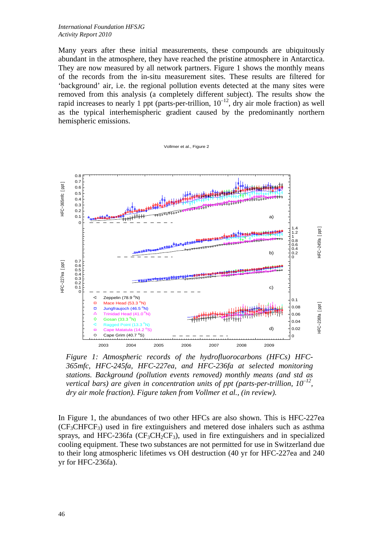Many years after these initial measurements, these compounds are ubiquitously abundant in the atmosphere, they have reached the pristine atmosphere in Antarctica. They are now measured by all network partners. Figure 1 shows the monthly means of the records from the in-situ measurement sites. These results are filtered for 'background' air, i.e. the regional pollution events detected at the many sites were removed from this analysis (a completely different subject). The results show the rapid increases to nearly 1 ppt (parts-per-trillion,  $10^{-12}$ , dry air mole fraction) as well as the typical interhemispheric gradient caused by the predominantly northern hemispheric emissions.

Vollmer et al., Figure 2



*Figure 1: Atmospheric records of the hydrofluorocarbons (HFCs) HFC-365mfc, HFC-245fa, HFC-227ea, and HFC-236fa at selected monitoring stations. Background (pollution events removed) monthly means (and std as vertical bars) are given in concentration units of ppt (parts-per-trillion,*  $10^{-12}$ *, dry air mole fraction). Figure taken from Vollmer et al., (in review).* 

In Figure 1, the abundances of two other HFCs are also shown. This is HFC-227ea  $(CF<sub>3</sub>CHFCF<sub>3</sub>)$  used in fire extinguishers and metered dose inhalers such as asthma sprays, and HFC-236fa  $(\text{CF}_3\text{CH}_2\text{CF}_3)$ , used in fire extinguishers and in specialized cooling equipment. These two substances are not permitted for use in Switzerland due to their long atmospheric lifetimes vs OH destruction (40 yr for HFC-227ea and 240 yr for HFC-236fa).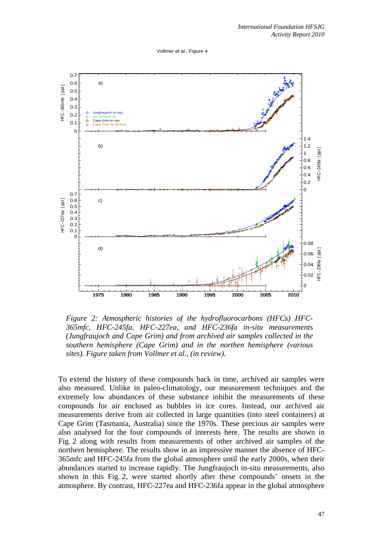Vollmer et al., Figure 4



*Figure 2: Atmospheric histories of the hydrofluorocarbons (HFCs) HFC-365mfc, HFC-245fa, HFC-227ea, and HFC-236fa in-situ measurements (Jungfraujoch and Cape Grim) and from archived air samples collected in the southern hemisphere (Cape Grim) and in the northen hemisphere (various sites). Figure taken from Vollmer et al., (in review).* 

To extend the history of these compounds back in time, archived air samples were also measured. Unlike in paleo-climatology, our measurement techniques and the extremely low abundances of these substance inhibit the measurements of these compounds for air enclosed as bubbles in ice cores. Instead, our archived air measurements derive from air collected in large quantities (into steel containers) at Cape Grim (Tasmania, Australia) since the 1970s. These precious air samples were also analysed for the four compounds of interests here. The results are shown in Fig. 2 along with results from measurements of other archived air samples of the northern hemisphere. The results show in an impressive manner the absence of HFC-365mfc and HFC-245fa from the global atmosphere until the early 2000s, when their abundances started to increase rapidly. The Jungfraujoch in-situ measurements, also shown in this Fig. 2, were started shortly after these compounds' onsets in the atmosphere. By contrast, HFC-227ea and HFC-236fa appear in the global atmosphere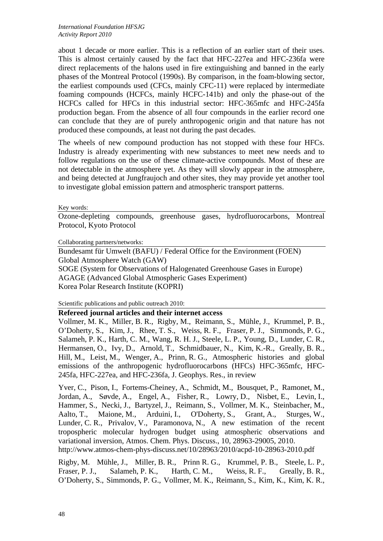about 1 decade or more earlier. This is a reflection of an earlier start of their uses. This is almost certainly caused by the fact that HFC-227ea and HFC-236fa were direct replacements of the halons used in fire extinguishing and banned in the early phases of the Montreal Protocol (1990s). By comparison, in the foam-blowing sector, the earliest compounds used (CFCs, mainly CFC-11) were replaced by intermediate foaming compounds (HCFCs, mainly HCFC-141b) and only the phase-out of the HCFCs called for HFCs in this industrial sector: HFC-365mfc and HFC-245fa production began. From the absence of all four compounds in the earlier record one can conclude that they are of purely anthropogenic origin and that nature has not produced these compounds, at least not during the past decades.

The wheels of new compound production has not stopped with these four HFCs. Industry is already experimenting with new substances to meet new needs and to follow regulations on the use of these climate-active compounds. Most of these are not detectable in the atmosphere yet. As they will slowly appear in the atmosphere, and being detected at Jungfraujoch and other sites, they may provide yet another tool to investigate global emission pattern and atmospheric transport patterns.

Key words:

Ozone-depleting compounds, greenhouse gases, hydrofluorocarbons, Montreal Protocol, Kyoto Protocol

Collaborating partners/networks:

Bundesamt für Umwelt (BAFU) / Federal Office for the Environment (FOEN) Global Atmosphere Watch (GAW) SOGE (System for Observations of Halogenated Greenhouse Gases in Europe) AGAGE (Advanced Global Atmospheric Gases Experiment) Korea Polar Research Institute (KOPRI)

Scientific publications and public outreach 2010:

## **Refereed journal articles and their internet access**

Vollmer, M. K., Miller, B. R., Rigby, M., Reimann, S., Mühle, J., Krummel, P. B., O'Doherty, S., Kim, J., Rhee, T. S., Weiss, R. F., Fraser, P. J., Simmonds, P. G., Salameh, P. K., Harth, C. M., Wang, R. H. J., Steele, L. P., Young, D., Lunder, C. R., Hermansen, O., Ivy, D., Arnold, T., Schmidbauer, N., Kim, K.-R., Greally, B. R., Hill, M., Leist, M., Wenger, A., Prinn, R. G., Atmospheric histories and global emissions of the anthropogenic hydrofluorocarbons (HFCs) HFC-365mfc, HFC-245fa, HFC-227ea, and HFC-236fa, J. Geophys. Res., in review

Yver, C., Pison, I., Fortems-Cheiney, A., Schmidt, M., Bousquet, P., Ramonet, M., Jordan, A., Søvde, A., Engel, A., Fisher, R., Lowry, D., Nisbet, E., Levin, I., Hammer, S., Necki, J., Bartyzel, J., Reimann, S., Vollmer, M. K., Steinbacher, M., Aalto, T., Maione, M., Arduini, I., O'Doherty, S., Grant, A., Sturges, W., Lunder, C. R., Privalov, V., Paramonova, N., A new estimation of the recent tropospheric molecular hydrogen budget using atmospheric observations and variational inversion, Atmos. Chem. Phys. Discuss., 10, 28963-29005, 2010.

http://www.atmos-chem-phys-discuss.net/10/28963/2010/acpd-10-28963-2010.pdf

Rigby, M. Mühle, J., Miller, B. R., Prinn R. G., Krummel, P. B., Steele, L. P., Fraser, P. J., Salameh, P. K., Harth, C. M., Weiss, R. F., Greally, B. R., O'Doherty, S., Simmonds, P. G., Vollmer, M. K., Reimann, S., Kim, K., Kim, K. R.,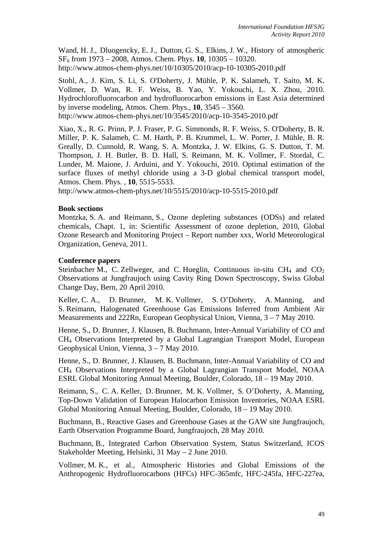Wand, H. J., Dluogencky, E. J., Dutton, G. S., Elkins, J. W., History of atmospheric SF6 from 1973 – 2008, Atmos. Chem. Phys. **10**, 10305 – 10320. http://www.atmos-chem-phys.net/10/10305/2010/acp-10-10305-2010.pdf

Stohl, A., J. Kim, S. Li, S. O'Doherty, J. Mühle, P. K. Salameh, T. Saito, M. K. Vollmer, D. Wan, R. F. Weiss, B. Yao, Y. Yokouchi, L. X. Zhou, 2010. Hydrochlorofluorocarbon and hydrofluorocarbon emissions in East Asia determined by inverse modeling, Atmos. Chem. Phys., **10**, 3545 – 3560. http://www.atmos-chem-phys.net/10/3545/2010/acp-10-3545-2010.pdf

Xiao, X., R. G. Prinn, P. J. Fraser, P. G. Simmonds, R. F. Weiss, S. O'Doherty, B. R. Miller, P. K. Salameh, C. M. Harth, P. B. Krummel, L. W. Porter, J. Mühle, B. R. Greally, D. Cunnold, R. Wang, S. A. Montzka, J. W. Elkins, G. S. Dutton, T. M. Thompson, J. H. Butler, B. D. Hall, S. Reimann, M. K. Vollmer, F. Stordal, C. Lunder, M. Maione, J. Arduini, and Y. Yokouchi, 2010. Optimal estimation of the surface fluxes of methyl chloride using a 3-D global chemical transport model, Atmos. Chem. Phys. , **10**, 5515-5533.

http://www.atmos-chem-phys.net/10/5515/2010/acp-10-5515-2010.pdf

## **Book sections**

Montzka, S. A. and Reimann, S., Ozone depleting substances (ODSs) and related chemicals, Chapt. 1, in: Scientific Assessment of ozone depletion, 2010, Global Ozone Research and Monitoring Project – Report number xxx, World Meteorological Organization, Geneva, 2011.

#### **Conference papers**

Steinbacher M., C. Zellweger, and C. Hueglin, Continuous in-situ  $CH_4$  and  $CO_2$ Observations at Jungfraujoch using Cavity Ring Down Spectroscopy, Swiss Global Change Day, Bern, 20 April 2010.

Keller, C. A., D. Brunner, M. K. Vollmer, S. O'Doherty, A. Manning, and S. Reimann, Halogenated Greenhouse Gas Emissions Inferred from Ambient Air Measurements and 222Rn, European Geophysical Union, Vienna, 3 – 7 May 2010.

Henne, S., D. Brunner, J. Klausen, B. Buchmann, Inter-Annual Variability of CO and CH4 Observations Interpreted by a Global Lagrangian Transport Model, European Geophysical Union, Vienna, 3 – 7 May 2010.

Henne, S., D. Brunner, J. Klausen, B. Buchmann, Inter-Annual Variability of CO and CH4 Observations Interpreted by a Global Lagrangian Transport Model, NOAA ESRL Global Monitoring Annual Meeting, Boulder, Colorado, 18 – 19 May 2010.

Reimann, S., C. A. Keller, D. Brunner, M. K. Vollmer, S. O'Doherty, A. Manning, Top-Down Validation of European Halocarbon Emission Inventories, NOAA ESRL Global Monitoring Annual Meeting, Boulder, Colorado, 18 – 19 May 2010.

Buchmann, B., Reactive Gases and Greenhouse Gases at the GAW site Jungfraujoch, Earth Observation Programme Board, Jungfraujoch, 28 May 2010.

Buchmann, B., Integrated Carbon Observation System, Status Switzerland, ICOS Stakeholder Meeting, Helsinki, 31 May – 2 June 2010.

Vollmer, M. K., et al., Atmospheric Histories and Global Emissions of the Anthropogenic Hydrofluorocarbons (HFCs) HFC-365mfc, HFC-245fa, HFC-227ea,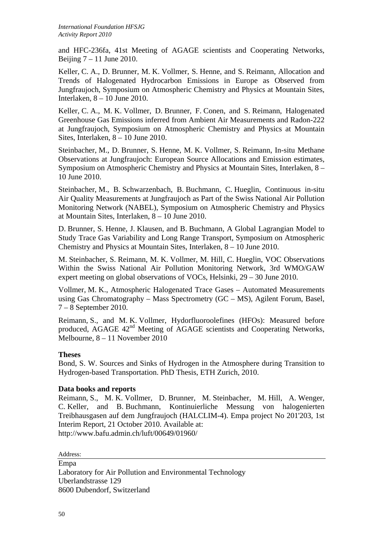and HFC-236fa, 41st Meeting of AGAGE scientists and Cooperating Networks, Beijing  $7 - 11$  June 2010.

Keller, C. A., D. Brunner, M. K. Vollmer, S. Henne, and S. Reimann, Allocation and Trends of Halogenated Hydrocarbon Emissions in Europe as Observed from Jungfraujoch, Symposium on Atmospheric Chemistry and Physics at Mountain Sites, Interlaken, 8 – 10 June 2010.

Keller, C. A., M. K. Vollmer, D. Brunner, F. Conen, and S. Reimann, Halogenated Greenhouse Gas Emissions inferred from Ambient Air Measurements and Radon-222 at Jungfraujoch, Symposium on Atmospheric Chemistry and Physics at Mountain Sites, Interlaken, 8 – 10 June 2010.

Steinbacher, M., D. Brunner, S. Henne, M. K. Vollmer, S. Reimann, In-situ Methane Observations at Jungfraujoch: European Source Allocations and Emission estimates, Symposium on Atmospheric Chemistry and Physics at Mountain Sites, Interlaken, 8 – 10 June 2010.

Steinbacher, M., B. Schwarzenbach, B. Buchmann, C. Hueglin, Continuous in-situ Air Quality Measurements at Jungfraujoch as Part of the Swiss National Air Pollution Monitoring Network (NABEL), Symposium on Atmospheric Chemistry and Physics at Mountain Sites, Interlaken, 8 – 10 June 2010.

D. Brunner, S. Henne, J. Klausen, and B. Buchmann, A Global Lagrangian Model to Study Trace Gas Variability and Long Range Transport, Symposium on Atmospheric Chemistry and Physics at Mountain Sites, Interlaken, 8 – 10 June 2010.

M. Steinbacher, S. Reimann, M. K. Vollmer, M. Hill, C. Hueglin, VOC Observations Within the Swiss National Air Pollution Monitoring Network, 3rd WMO/GAW expert meeting on global observations of VOCs, Helsinki, 29 – 30 June 2010.

Vollmer, M. K., Atmospheric Halogenated Trace Gases – Automated Measurements using Gas Chromatography – Mass Spectrometry (GC – MS), Agilent Forum, Basel, 7 – 8 September 2010.

Reimann, S., and M. K. Vollmer, Hydorfluoroolefines (HFOs): Measured before produced, AGAGE 42<sup>nd</sup> Meeting of AGAGE scientists and Cooperating Networks, Melbourne, 8 – 11 November 2010

# **Theses**

Bond, S. W. Sources and Sinks of Hydrogen in the Atmosphere during Transition to Hydrogen-based Transportation. PhD Thesis, ETH Zurich, 2010.

# **Data books and reports**

Reimann, S., M. K. Vollmer, D. Brunner, M. Steinbacher, M. Hill, A. Wenger, C. Keller, and B. Buchmann, Kontinuierliche Messung von halogenierten Treibhausgasen auf dem Jungfraujoch (HALCLIM-4). Empa project No 201'203, 1st Interim Report, 21 October 2010. Available at: http://www.bafu.admin.ch/luft/00649/01960/

Address:

Empa Laboratory for Air Pollution and Environmental Technology Uberlandstrasse 129 8600 Dubendorf, Switzerland